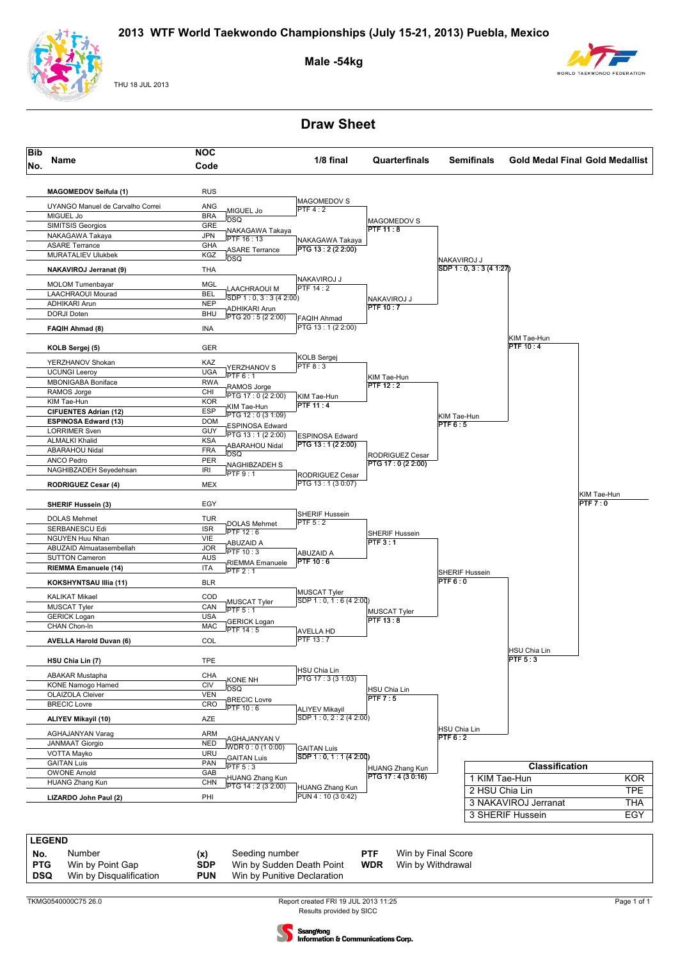

THU 18 JUL 2013

#### **Male -54kg**



**Draw Sheet**





**PTG** Win by Point Gap **SDP** Win by Sudden Death Point **WDR** Win by Withdrawal **DSQ** Win by Disqualification **PUN** Win by Punitive Declaration

**DSQ** Win by Disqualification **PUN** Win by Punitive Declaration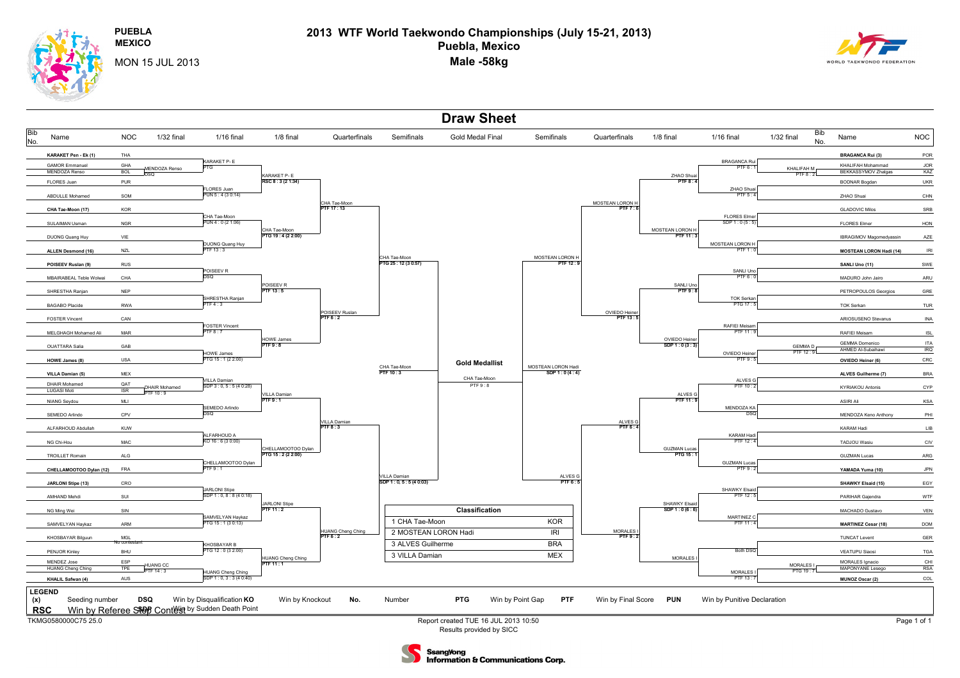**PUEBLA**

**MEXICO**

## **2013 WTF World Taekwondo Championships (July 15-21, 2013) Puebla, Mexico Male -58kg**



MON 15 JUL 2013



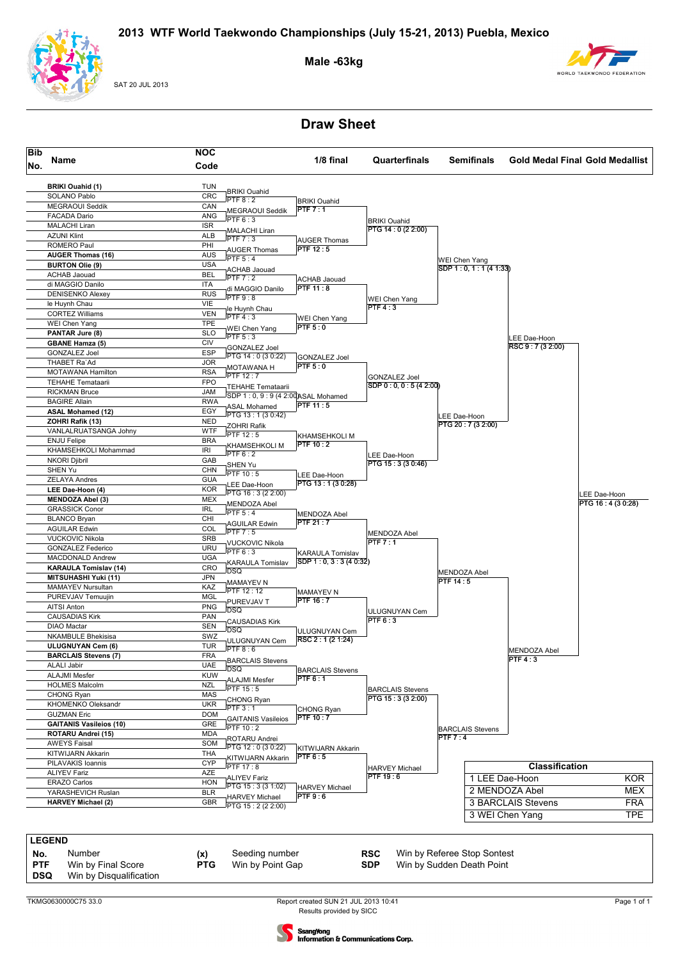

SAT 20 JUL 2013

**Male -63kg**



## **Draw Sheet**





**PTF** Win by Final Score **PTG** Win by Point Gap **SDP** Win by Sudden Death Point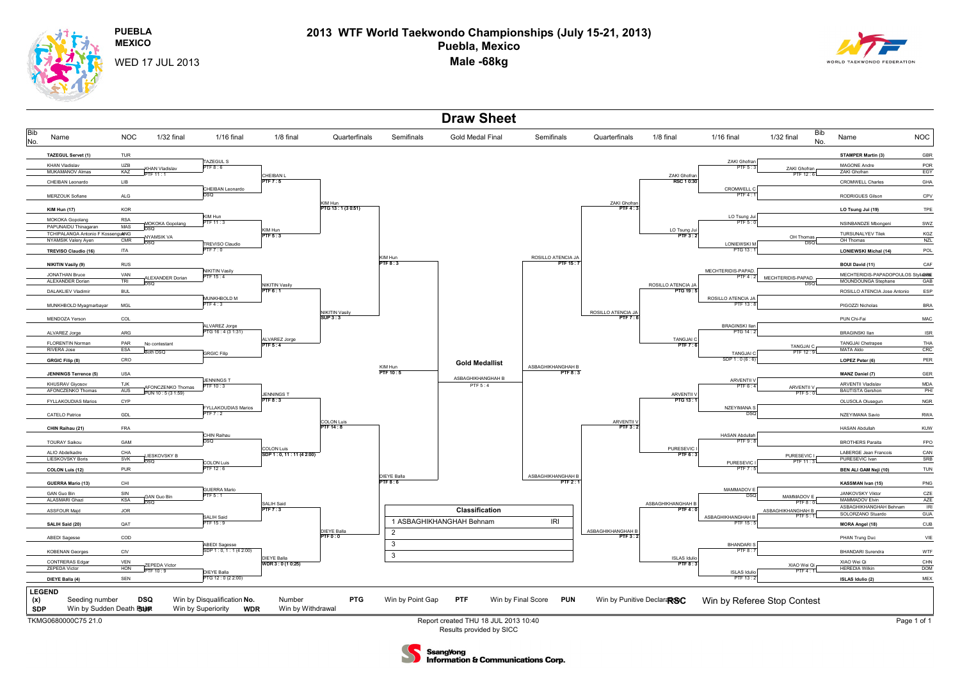**PUEBLAMEXICO**

## **2013 WTF World Taekwondo Championships (July 15-21, 2013) Puebla, Mexico Male -68kg**



WED 17 JUL 2013





**Information & Communications Corp.**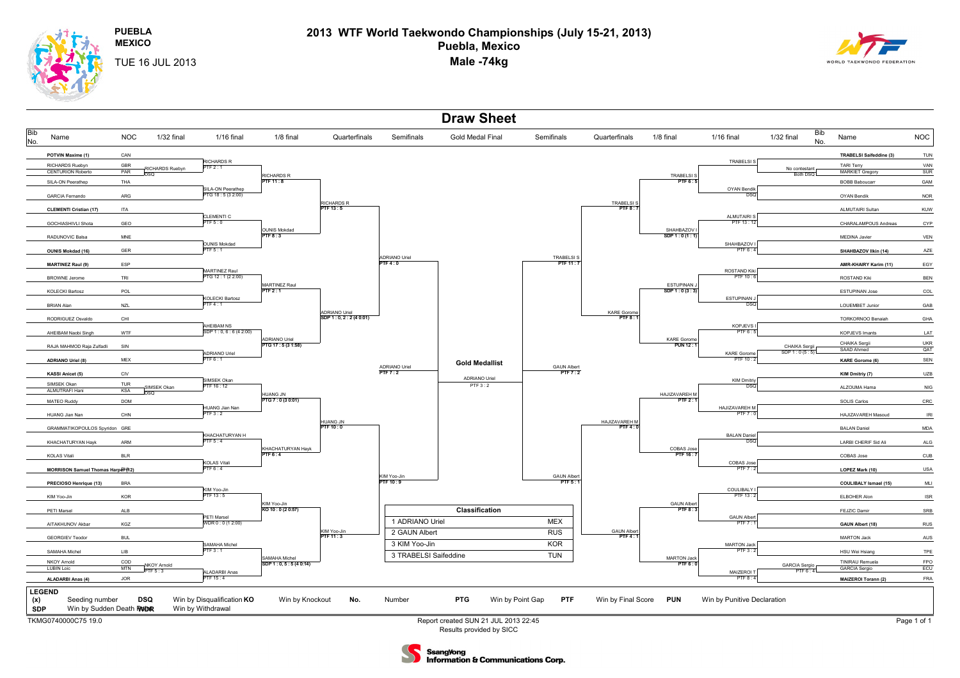**PUEBLA**

**2013 WTF World Taekwondo Championships (July 15-21, 2013) Puebla, Mexico Male -74kg**



**MEXICO**TUE 16 JUL 2013



Results provided by SICC

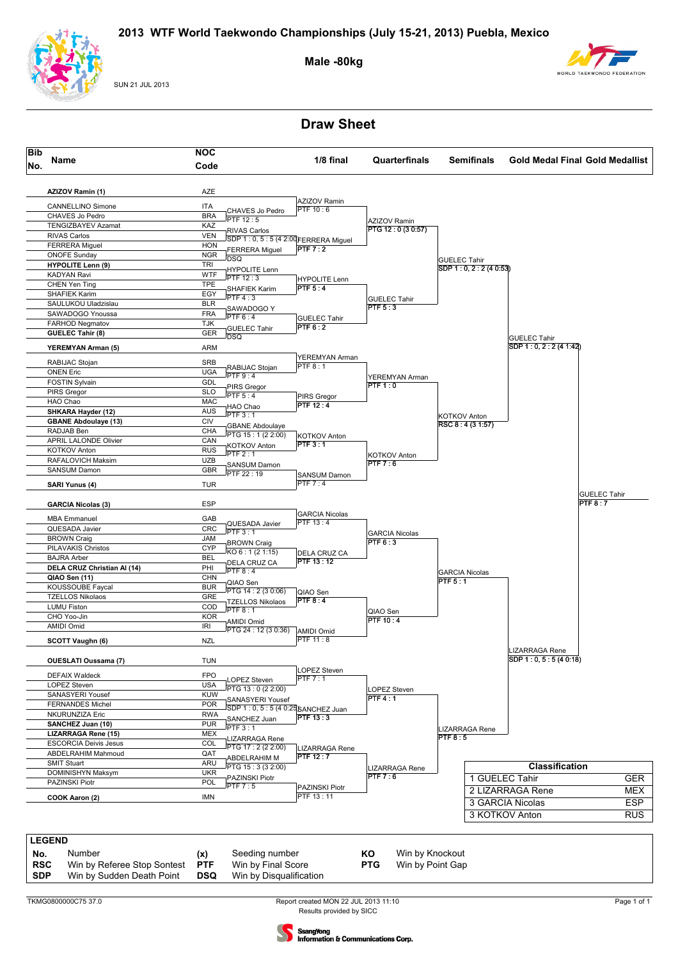

SUN 21 JUL 2013

#### **Male -80kg**



**Draw Sheet**



**SDP** Win by Sudden Death Point **DSQ** Win by Disqualification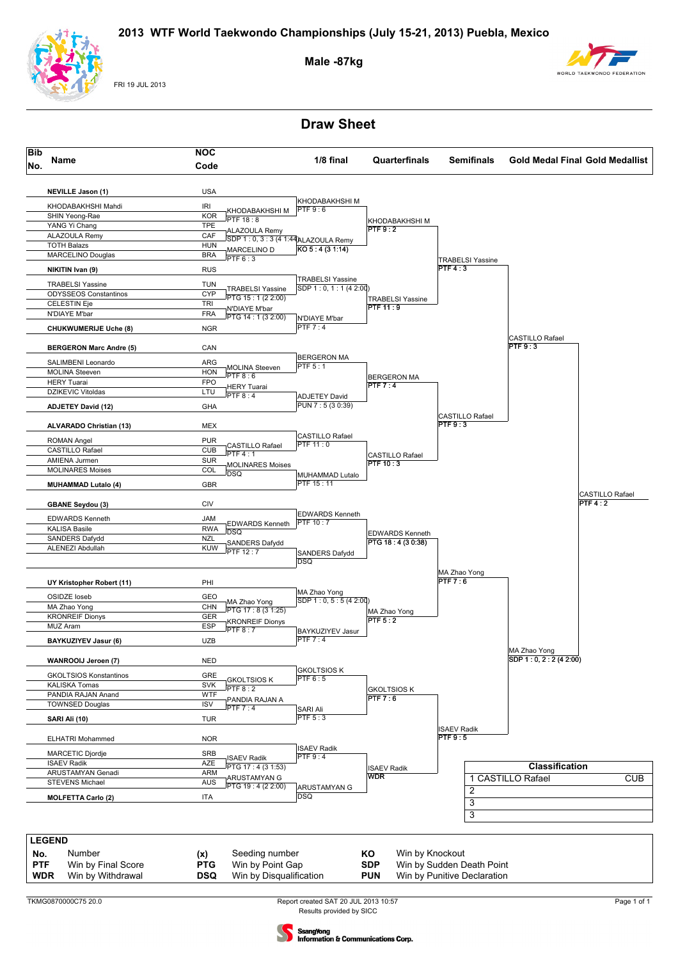

FRI 19 JUL 2013

#### **Male -87kg**



## **Draw Sheet**



Results provided by SICC Report created SAT 20 JUL 2013 10:57 Page 1 of 1

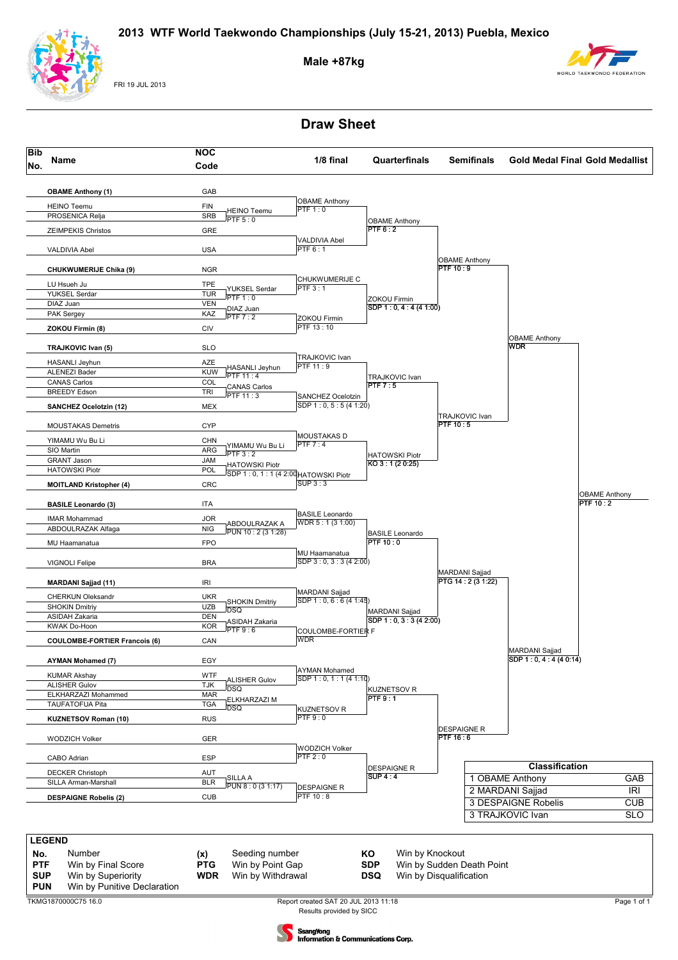

FRI 19 JUL 2013

#### **Male +87kg**



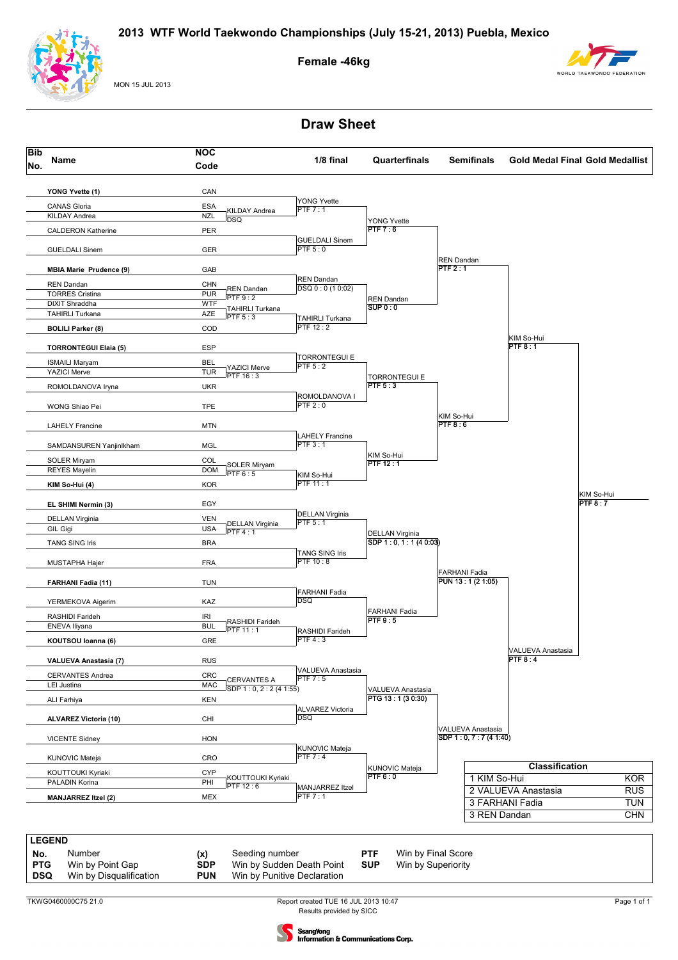

MON 15 JUL 2013

#### **Female -46kg**





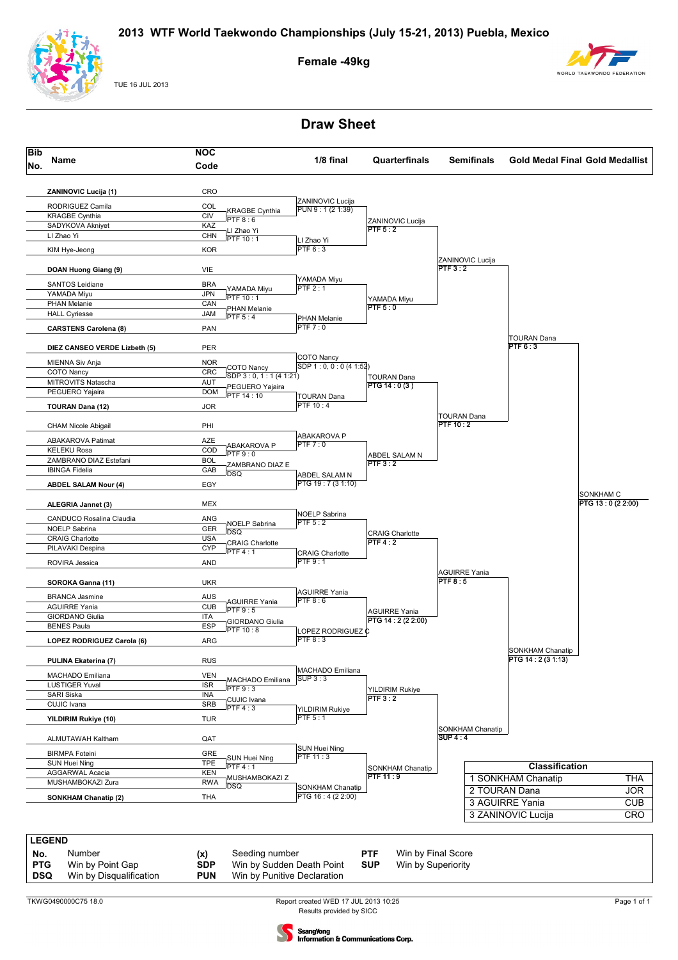

TUE 16 JUL 2013

#### **Female -49kg**



## **Draw Sheet**





**DSQ** Win by Disqualification **PUN** Win by Punitive Declaration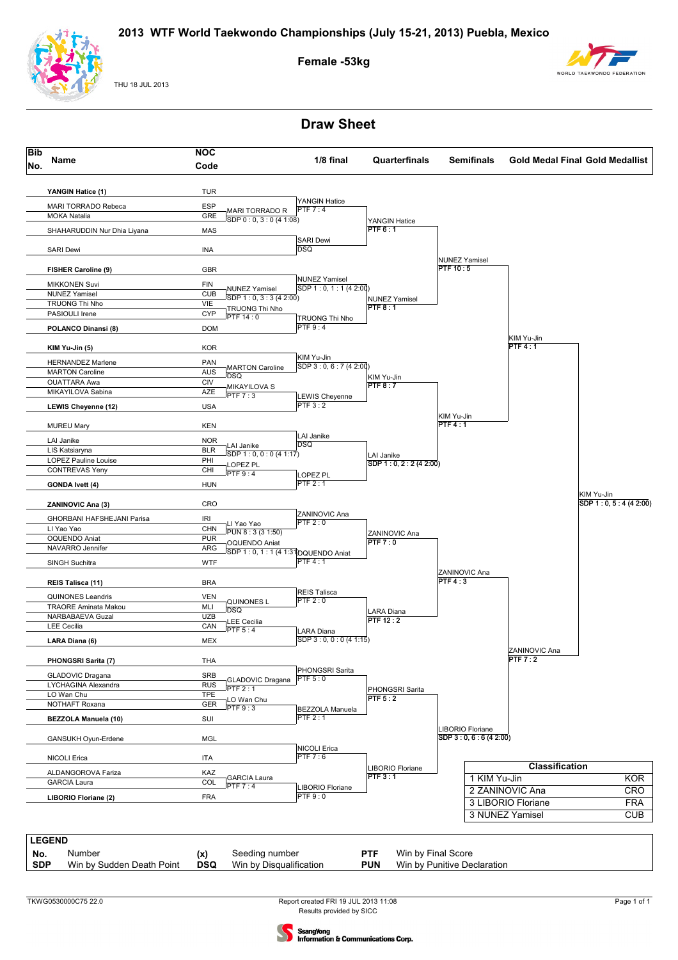

THU 18 JUL 2013

#### **Female -53kg**



## **Draw Sheet**





sangYong **Information & Communications Corp.**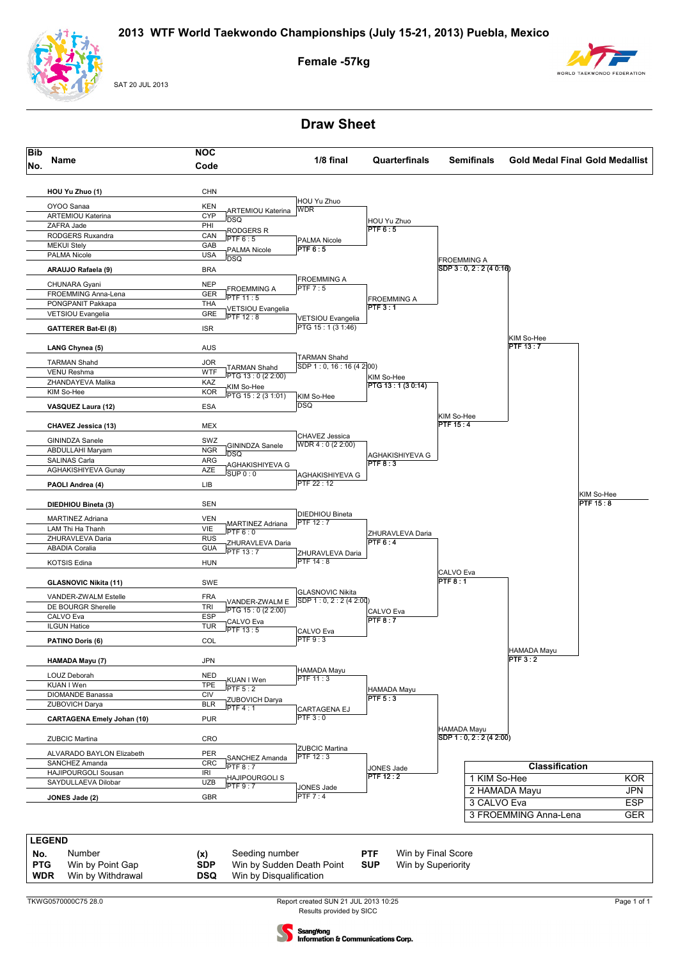

SAT 20 JUL 2013

#### **Female -57kg**



## **Draw Sheet**



TKWG0570000C75 28.0

Results provided by SICC Report created SUN 21 JUL 2013 10:25 Page 1 of 1



**Information & Communications Corp.**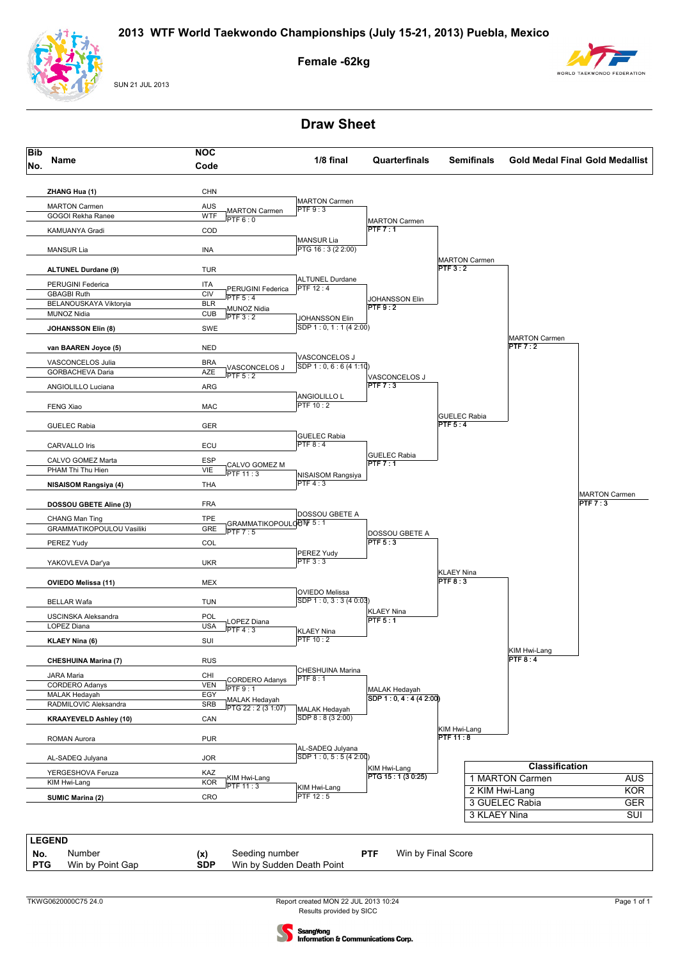

SUN 21 JUL 2013

#### **Female -62kg**





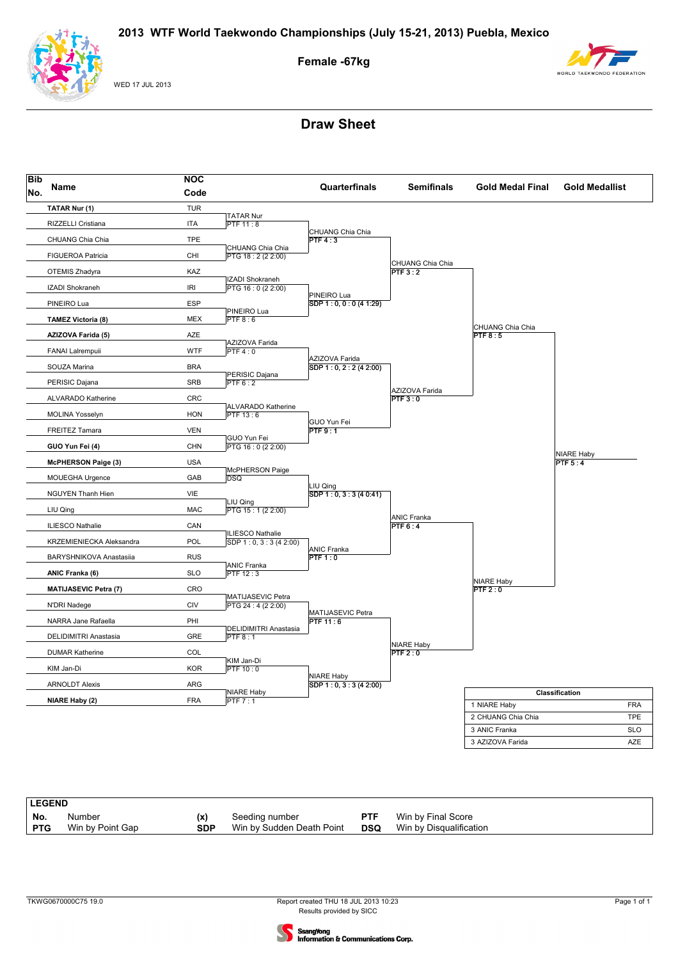

WED 17 JUL 2013

# **Female -67kg**



| <b>Bib</b><br>No. | Name                         | <b>NOC</b>                         |                                     | Quarterfinals                          |                              |                              |                       |
|-------------------|------------------------------|------------------------------------|-------------------------------------|----------------------------------------|------------------------------|------------------------------|-----------------------|
|                   |                              | Code                               |                                     |                                        | <b>Semifinals</b>            | <b>Gold Medal Final</b>      | <b>Gold Medallist</b> |
|                   | TATAR Nur (1)                | <b>TUR</b>                         |                                     |                                        |                              |                              |                       |
|                   | RIZZELLI Cristiana           | <b>ITA</b>                         | <b>TATAR Nur</b><br><b>PTF 11:8</b> |                                        |                              |                              |                       |
|                   | CHUANG Chia Chia             | <b>TPE</b>                         |                                     | CHUANG Chia Chia<br>PTF4:3             |                              |                              |                       |
|                   |                              |                                    | CHUANG Chia Chia                    |                                        |                              |                              |                       |
|                   | <b>FIGUEROA Patricia</b>     | CHI                                | PTG 18:2 (2 2:00)                   |                                        | CHUANG Chia Chia             |                              |                       |
|                   | OTEMIS Zhadyra               | KAZ                                | IZADI Shokraneh                     |                                        | PTF3:2                       |                              |                       |
|                   | IZADI Shokraneh              | $\ensuremath{\mathsf{IRl}}\xspace$ | PTG 16:0 (2 2:00)                   |                                        |                              |                              |                       |
|                   | PINEIRO Lua                  | <b>ESP</b>                         |                                     | PINEIRO Lua<br>SDP 1: 0, 0: 0 (4 1:29) |                              |                              |                       |
|                   | <b>TAMEZ Victoria (8)</b>    | <b>MEX</b>                         | PINEIRO Lua<br>PTF 8:6              |                                        |                              |                              |                       |
|                   | AZIZOVA Farida (5)           | AZE                                |                                     |                                        |                              | CHUANG Chia Chia<br>PTF8:5   |                       |
|                   |                              |                                    | AZIZOVA Farida                      |                                        |                              |                              |                       |
|                   | FANAI Lalrempuii             | <b>WTF</b>                         | PTF4:0                              | AZIZOVA Farida                         |                              |                              |                       |
|                   | SOUZA Marina                 | <b>BRA</b>                         | PERISIC Dajana                      | SDP 1: 0, 2: 2 (4 2:00)                |                              |                              |                       |
|                   | PERISIC Dajana               | SRB                                | PTF6:2                              |                                        |                              |                              |                       |
|                   | ALVARADO Katherine           | CRC                                |                                     |                                        | AZIZOVA Farida<br>PTF3:0     |                              |                       |
|                   | <b>MOLINA Yosselyn</b>       | <b>HON</b>                         | ALVARADO Katherine<br>PTF 13:6      |                                        |                              |                              |                       |
|                   |                              |                                    |                                     | GUO Yun Fei                            |                              |                              |                       |
|                   | <b>FREITEZ Tamara</b>        | <b>VEN</b>                         | GUO Yun Fei                         | PTF9:1                                 |                              |                              |                       |
|                   | GUO Yun Fei (4)              | CHN                                | PTG 16 : 0 (2 2:00)                 |                                        |                              |                              | <b>NIARE Haby</b>     |
|                   | <b>McPHERSON Paige (3)</b>   | <b>USA</b>                         |                                     |                                        |                              |                              | PTF $5:4$             |
|                   | <b>MOUEGHA Urgence</b>       | GAB                                | McPHERSON Paige<br><b>DSQ</b>       |                                        |                              |                              |                       |
|                   | <b>NGUYEN Thanh Hien</b>     | VIE                                |                                     | LIU Qing<br>SDP 1: 0, 3: 3 (4 0:41)    |                              |                              |                       |
|                   |                              |                                    | LIU Qing                            |                                        |                              |                              |                       |
|                   | LIU Qing                     | <b>MAC</b>                         | PTG 15:1 (2 2:00)                   |                                        | <b>ANIC Franka</b>           |                              |                       |
|                   | <b>ILIESCO Nathalie</b>      | CAN                                | <b>ILIESCO Nathalie</b>             |                                        | PTF 6:4                      |                              |                       |
|                   | KRZEMIENIECKA Aleksandra     | POL                                | SDP $1:0, 3:3(42:00)$               | <b>ANIC Franka</b>                     |                              |                              |                       |
|                   | BARYSHNIKOVA Anastasiia      | <b>RUS</b>                         |                                     | PTF1:0                                 |                              |                              |                       |
|                   | ANIC Franka (6)              | <b>SLO</b>                         | <b>ANIC Franka</b><br>PTF 12:3      |                                        |                              |                              |                       |
|                   | <b>MATIJASEVIC Petra (7)</b> | CRO                                |                                     |                                        |                              | <b>NIARE Haby</b><br>PTF 2:0 |                       |
|                   |                              |                                    | MATIJASEVIC Petra                   |                                        |                              |                              |                       |
|                   | N'DRI Nadege                 | CIV                                | PTG 24 : 4 (2 2:00)                 | MATIJASEVIC Petra                      |                              |                              |                       |
|                   | NARRA Jane Rafaella          | PHI                                | DELIDIMITRI Anastasia               | <b>PTF 11:6</b>                        |                              |                              |                       |
|                   | DELIDIMITRI Anastasia        | GRE                                | PTF 8:1                             |                                        |                              |                              |                       |
|                   | <b>DUMAR Katherine</b>       | COL                                |                                     |                                        | <b>NIARE Haby</b><br>PTF 2:0 |                              |                       |
|                   | KIM Jan-Di                   | <b>KOR</b>                         | KIM Jan-Di<br>PTF10:0               |                                        |                              |                              |                       |
|                   | <b>ARNOLDT Alexis</b>        | ARG                                |                                     | <b>NIARE Haby</b>                      |                              |                              |                       |
|                   |                              |                                    | <b>NIARE Haby</b>                   | SDP 1: 0, 3: 3 (4 2:00)                |                              |                              | Classification        |
|                   | NIARE Haby (2)               | <b>FRA</b>                         | PTF 7:1                             |                                        |                              | 1 NIARE Haby                 | <b>FRA</b>            |
|                   |                              |                                    |                                     |                                        |                              | 2 CHUANG Chia Chia           | <b>TPE</b>            |
|                   |                              |                                    |                                     |                                        |                              | 3 ANIC Franka                | <b>SLO</b>            |
|                   |                              |                                    |                                     |                                        |                              | 3 AZIZOVA Farida             | AZE                   |

| <b>LEGEND</b> |                  |     |                           |            |                         |
|---------------|------------------|-----|---------------------------|------------|-------------------------|
| No.           | Number           | (x) | Seeding number            | <b>PTF</b> | Win by Final Score      |
| <b>PTG</b>    | Win by Point Gap | SDP | Win by Sudden Death Point | <b>DSQ</b> | Win by Disgualification |

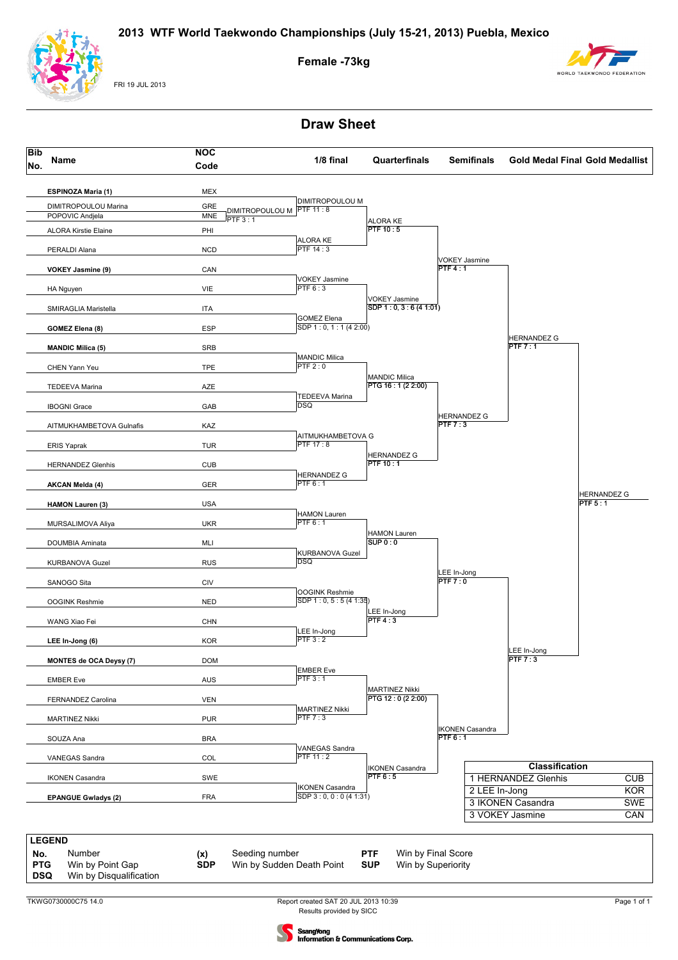

FRI 19 JUL 2013

**Female -73kg**